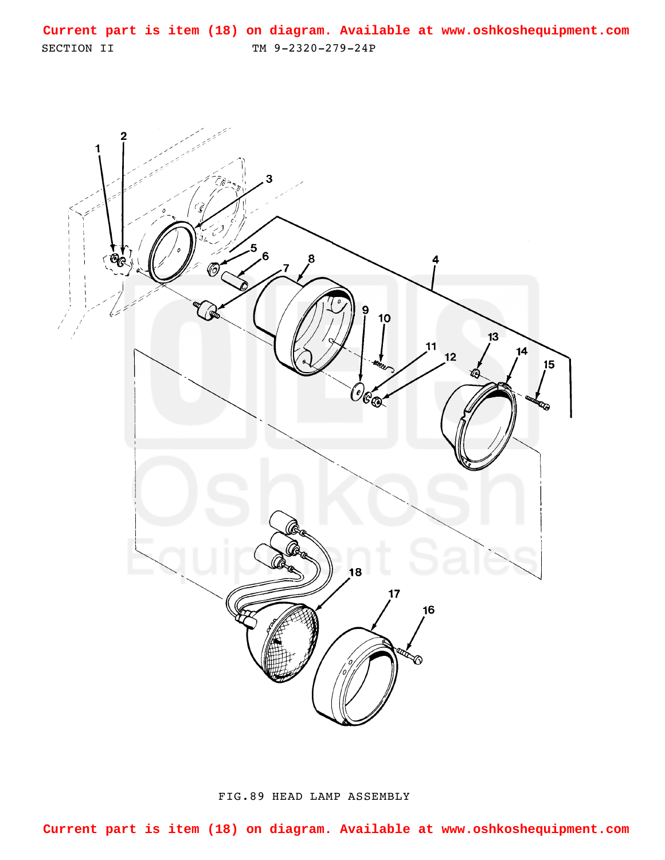<span id="page-0-0"></span>SECTION II TM 9-2320-279-24P **Current part is item (18) on diagram. Available at www.oshkoshequipment.com**



FIG.89 HEAD LAMP ASSEMBLY

**Current part is item (18) on diagram. Available at www.oshkoshequipment.com**